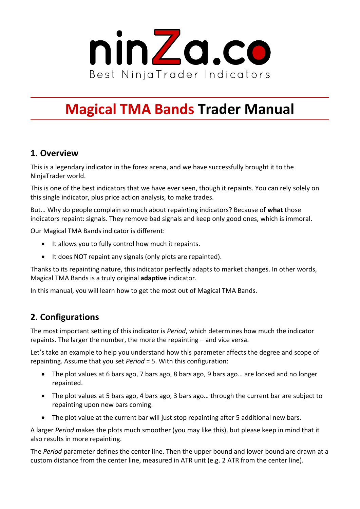

# **Magical TMA Bands Trader Manual**

## **1. Overview**

This is a legendary indicator in the forex arena, and we have successfully brought it to the NinjaTrader world.

This is one of the best indicators that we have ever seen, though it repaints. You can rely solely on this single indicator, plus price action analysis, to make trades.

But… Why do people complain so much about repainting indicators? Because of **what** those indicators repaint: signals. They remove bad signals and keep only good ones, which is immoral.

Our Magical TMA Bands indicator is different:

- It allows you to fully control how much it repaints.
- It does NOT repaint any signals (only plots are repainted).

Thanks to its repainting nature, this indicator perfectly adapts to market changes. In other words, Magical TMA Bands is a truly original **adaptive** indicator.

In this manual, you will learn how to get the most out of Magical TMA Bands.

# **2. Configurations**

The most important setting of this indicator is *Period*, which determines how much the indicator repaints. The larger the number, the more the repainting – and vice versa.

Let's take an example to help you understand how this parameter affects the degree and scope of repainting. Assume that you set *Period* = 5. With this configuration:

- The plot values at 6 bars ago, 7 bars ago, 8 bars ago, 9 bars ago… are locked and no longer repainted.
- The plot values at 5 bars ago, 4 bars ago, 3 bars ago… through the current bar are subject to repainting upon new bars coming.
- The plot value at the current bar will just stop repainting after 5 additional new bars.

A larger *Period* makes the plots much smoother (you may like this), but please keep in mind that it also results in more repainting.

The *Period* parameter defines the center line. Then the upper bound and lower bound are drawn at a custom distance from the center line, measured in ATR unit (e.g. 2 ATR from the center line).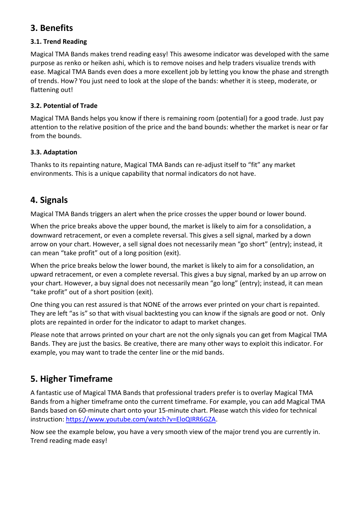## **3. Benefits**

#### **3.1. Trend Reading**

Magical TMA Bands makes trend reading easy! This awesome indicator was developed with the same purpose as renko or heiken ashi, which is to remove noises and help traders visualize trends with ease. Magical TMA Bands even does a more excellent job by letting you know the phase and strength of trends. How? You just need to look at the slope of the bands: whether it is steep, moderate, or flattening out!

#### **3.2. Potential of Trade**

Magical TMA Bands helps you know if there is remaining room (potential) for a good trade. Just pay attention to the relative position of the price and the band bounds: whether the market is near or far from the bounds.

#### **3.3. Adaptation**

Thanks to its repainting nature, Magical TMA Bands can re-adjust itself to "fit" any market environments. This is a unique capability that normal indicators do not have.

### **4. Signals**

Magical TMA Bands triggers an alert when the price crosses the upper bound or lower bound.

When the price breaks above the upper bound, the market is likely to aim for a consolidation, a downward retracement, or even a complete reversal. This gives a sell signal, marked by a down arrow on your chart. However, a sell signal does not necessarily mean "go short" (entry); instead, it can mean "take profit" out of a long position (exit).

When the price breaks below the lower bound, the market is likely to aim for a consolidation, an upward retracement, or even a complete reversal. This gives a buy signal, marked by an up arrow on your chart. However, a buy signal does not necessarily mean "go long" (entry); instead, it can mean "take profit" out of a short position (exit).

One thing you can rest assured is that NONE of the arrows ever printed on your chart is repainted. They are left "as is" so that with visual backtesting you can know if the signals are good or not. Only plots are repainted in order for the indicator to adapt to market changes.

Please note that arrows printed on your chart are not the only signals you can get from Magical TMA Bands. They are just the basics. Be creative, there are many other ways to exploit this indicator. For example, you may want to trade the center line or the mid bands.

# **5. Higher Timeframe**

A fantastic use of Magical TMA Bands that professional traders prefer is to overlay Magical TMA Bands from a higher timeframe onto the current timeframe. For example, you can add Magical TMA Bands based on 60-minute chart onto your 15-minute chart. Please watch this video for technical instruction: [https://www.youtube.com/watch?v=EloQIRR6GZA.](https://www.youtube.com/watch?v=EloQIRR6GZA)

Now see the example below, you have a very smooth view of the major trend you are currently in. Trend reading made easy!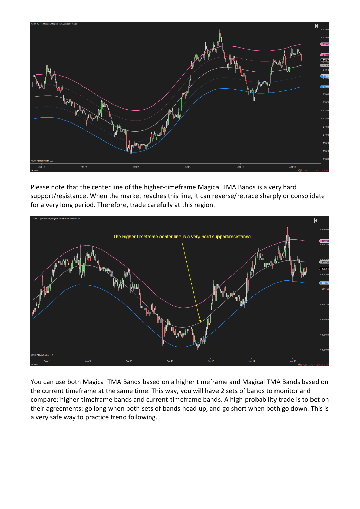

Please note that the center line of the higher-timeframe Magical TMA Bands is a very hard support/resistance. When the market reaches this line, it can reverse/retrace sharply or consolidate for a very long period. Therefore, trade carefully at this region.



You can use both Magical TMA Bands based on a higher timeframe and Magical TMA Bands based on the current timeframe at the same time. This way, you will have 2 sets of bands to monitor and compare: higher-timeframe bands and current-timeframe bands. A high-probability trade is to bet on their agreements: go long when both sets of bands head up, and go short when both go down. This is a very safe way to practice trend following.